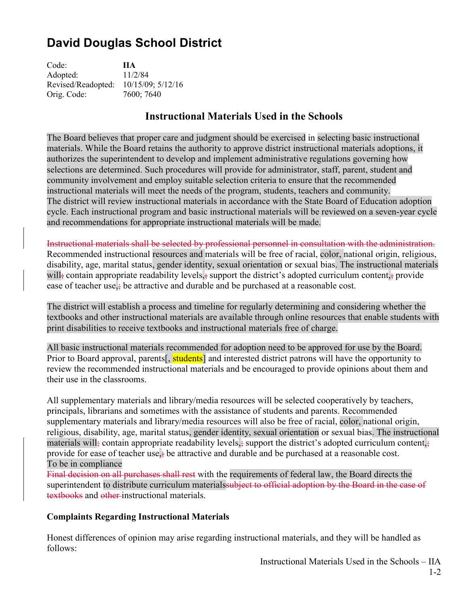# **David Douglas School District**

| Code:              | <b>IIA</b>        |
|--------------------|-------------------|
| Adopted:           | 11/2/84           |
| Revised/Readopted: | 10/15/09; 5/12/16 |
| Orig. Code:        | 7600; 7640        |

## **Instructional Materials Used in the Schools**

The Board believes that proper care and judgment should be exercised in selecting basic instructional materials. While the Board retains the authority to approve district instructional materials adoptions, it authorizes the superintendent to develop and implement administrative regulations governing how selections are determined. Such procedures will provide for administrator, staff, parent, student and community involvement and employ suitable selection criteria to ensure that the recommended instructional materials will meet the needs of the program, students, teachers and community. The district will review instructional materials in accordance with the State Board of Education adoption cycle. Each instructional program and basic instructional materials will be reviewed on a seven-year cycle and recommendations for appropriate instructional materials will be made.

Instructional materials shall be selected by professional personnel in consultation with the administration. Recommended instructional resources and materials will be free of racial, color, national origin, religious, disability, age, marital status, gender identity, sexual orientation or sexual bias. The instructional materials will<sub>i</sub> contain appropriate readability levels, support the district's adopted curriculum content, provide ease of teacher use, $\frac{1}{2}$  be attractive and durable and be purchased at a reasonable cost.

The district will establish a process and timeline for regularly determining and considering whether the textbooks and other instructional materials are available through online resources that enable students with print disabilities to receive textbooks and instructional materials free of charge.

All basic instructional materials recommended for adoption need to be approved for use by the Board. Prior to Board approval, parents<sup>[, students]</sup> and interested district patrons will have the opportunity to review the recommended instructional materials and be encouraged to provide opinions about them and their use in the classrooms.

All supplementary materials and library/media resources will be selected cooperatively by teachers, principals, librarians and sometimes with the assistance of students and parents. Recommended supplementary materials and library/media resources will also be free of racial, color, national origin, religious, disability, age, marital status, gender identity, sexual orientation or sexual bias. The instructional materials will<sub>i</sub> contain appropriate readability levels, support the district's adopted curriculum content, provide for ease of teacher use, be attractive and durable and be purchased at a reasonable cost. To be in compliance

Final decision on all purchases shall rest with the requirements of federal law, the Board directs the superintendent to distribute curriculum materials subject to official adoption by the Board in the case of textbooks and other instructional materials.

### **Complaints Regarding Instructional Materials**

Honest differences of opinion may arise regarding instructional materials, and they will be handled as follows:

Instructional Materials Used in the Schools – IIA